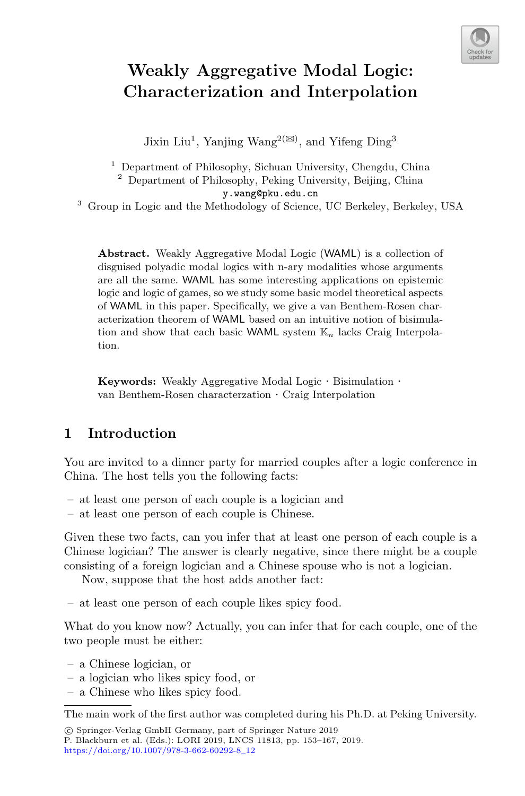

# **Weakly Aggregative Modal Logic: Characterization and Interpolation**

Jixin Liu<sup>1</sup>, Yanjing Wang<sup>2( $\boxtimes$ )</sup>, and Yifeng Ding<sup>3</sup>

<sup>1</sup> Department of Philosophy, Sichuan University, Chengdu, China <sup>2</sup> Department of Philosophy, Peking University, Beijing, China y.wang@pku.edu.cn

<sup>3</sup> Group in Logic and the Methodology of Science, UC Berkeley, Berkeley, USA

**Abstract.** Weakly Aggregative Modal Logic (WAML) is a collection of disguised polyadic modal logics with n-ary modalities whose arguments are all the same. WAML has some interesting applications on epistemic logic and logic of games, so we study some basic model theoretical aspects of WAML in this paper. Specifically, we give a van Benthem-Rosen characterization theorem of WAML based on an intuitive notion of bisimulation and show that each basic WAML system K*<sup>n</sup>* lacks Craig Interpolation.

**Keywords:** Weakly Aggregative Modal Logic · Bisimulation · van Benthem-Rosen characterzation · Craig Interpolation

# **1 Introduction**

You are invited to a dinner party for married couples after a logic conference in China. The host tells you the following facts:

- at least one person of each couple is a logician and
- at least one person of each couple is Chinese.

Given these two facts, can you infer that at least one person of each couple is a Chinese logician? The answer is clearly negative, since there might be a couple consisting of a foreign logician and a Chinese spouse who is not a logician.

Now, suppose that the host adds another fact:

– at least one person of each couple likes spicy food.

What do you know now? Actually, you can infer that for each couple, one of the two people must be either:

- a Chinese logician, or
- a logician who likes spicy food, or
- a Chinese who likes spicy food.

The main work of the first author was completed during his Ph.D. at Peking University.

<sup>-</sup>c Springer-Verlag GmbH Germany, part of Springer Nature 2019 P. Blackburn et al. (Eds.): LORI 2019, LNCS 11813, pp. 153–167, 2019. [https://doi.org/10.1007/978-3-662-60292-8](https://doi.org/10.1007/978-3-662-60292-8_12)\_12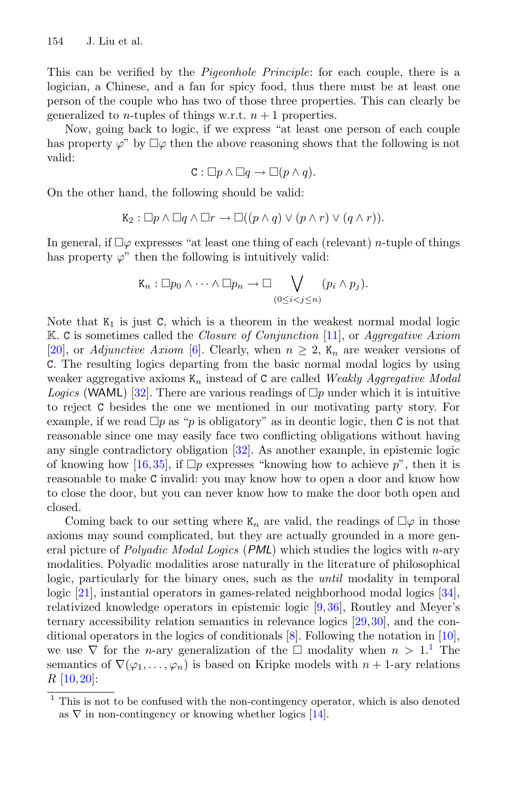This can be verified by the *Pigeonhole Principle*: for each couple, there is a logician, a Chinese, and a fan for spicy food, thus there must be at least one person of the couple who has two of those three properties. This can clearly be generalized to *n*-tuples of things w.r.t.  $n + 1$  properties.

Now, going back to logic, if we express "at least one person of each couple has property  $\varphi$ " by  $\Box \varphi$  then the above reasoning shows that the following is not valid:

$$
\mathrm{C}:\Box p\wedge\Box q\rightarrow\Box(p\wedge q).
$$

On the other hand, the following should be valid:

$$
K_2: \Box p \wedge \Box q \wedge \Box r \rightarrow \Box ((p \wedge q) \vee (p \wedge r) \vee (q \wedge r)).
$$

In general, if  $\Box \varphi$  expresses "at least one thing of each (relevant) *n*-tuple of things has property  $\varphi$ " then the following is intuitively valid:

$$
\mathsf{K}_n : \Box p_0 \wedge \cdots \wedge \Box p_n \to \Box \bigvee_{(0 \leq i < j \leq n)} (p_i \wedge p_j).
$$

Note that  $K_1$  is just C, which is a theorem in the weakest normal modal logic K. C is sometimes called the *Closure of Conjunction* [\[11](#page-13-0)], or *Aggregative Axiom* [\[20](#page-13-1)], or *Adjunctive Axiom* [\[6\]](#page-13-2). Clearly, when  $n \geq 2$ ,  $K_n$  are weaker versions of C. The resulting logics departing from the basic normal modal logics by using weaker aggregative axioms K*<sup>n</sup>* instead of C are called *Weakly Aggregative Modal Logics* (WAML) [\[32](#page-14-0)]. There are various readings of  $\Box p$  under which it is intuitive to reject C besides the one we mentioned in our motivating party story. For example, if we read  $\Box p$  as "p is obligatory" as in deontic logic, then C is not that reasonable since one may easily face two conflicting obligations without having any single contradictory obligation [\[32](#page-14-0)]. As another example, in epistemic logic of knowing how [\[16](#page-13-3)[,35](#page-14-1)], if  $\Box p$  expresses "knowing how to achieve p", then it is reasonable to make C invalid: you may know how to open a door and know how to close the door, but you can never know how to make the door both open and closed.

Coming back to our setting where  $K_n$  are valid, the readings of  $\Box \varphi$  in those axioms may sound complicated, but they are actually grounded in a more general picture of *Polyadic Modal Logics* (*PML*) which studies the logics with n-ary modalities. Polyadic modalities arose naturally in the literature of philosophical logic, particularly for the binary ones, such as the *until* modality in temporal logic [\[21](#page-13-4)], instantial operators in games-related neighborhood modal logics [\[34\]](#page-14-2), relativized knowledge operators in epistemic logic [\[9](#page-13-5)[,36](#page-14-3)], Routley and Meyer's ternary accessibility relation semantics in relevance logics [\[29](#page-14-4),[30\]](#page-14-5), and the conditional operators in the logics of conditionals [\[8](#page-13-6)]. Following the notation in [\[10\]](#page-13-7), we use  $\nabla$  for the *n*-ary generalization of the  $\Box$  modality when  $n > 1$  $n > 1$ .<sup>1</sup> The semantics of  $\nabla(\varphi_1,\ldots,\varphi_n)$  is based on Kripke models with  $n+1$ -ary relations  $R$  [\[10](#page-13-7),[20\]](#page-13-1):

<span id="page-1-0"></span><sup>&</sup>lt;sup>1</sup> This is not to be confused with the non-contingency operator, which is also denoted as  $\nabla$  in non-contingency or knowing whether logics [\[14\]](#page-13-8).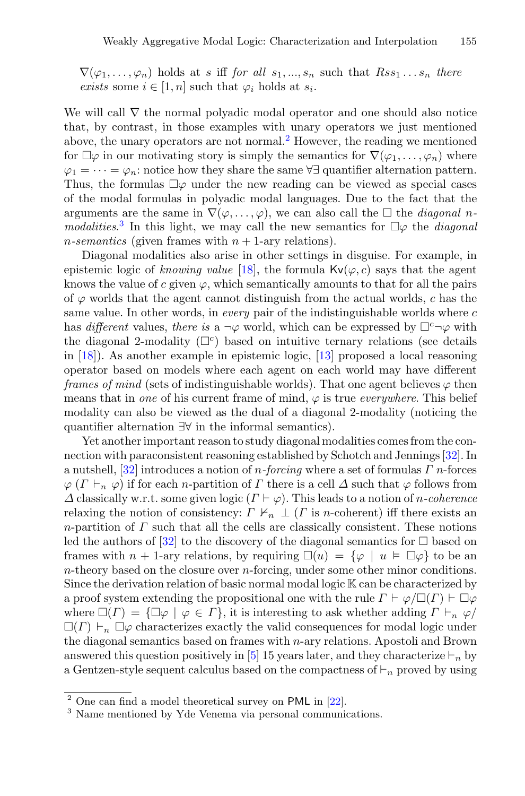$\nabla(\varphi_1,\ldots,\varphi_n)$  holds at s iff *for all*  $s_1,\ldots,s_n$  such that  $Rss_1\ldots s_n$  *there exists* some  $i \in [1, n]$  such that  $\varphi_i$  holds at  $s_i$ .

We will call  $\nabla$  the normal polyadic modal operator and one should also notice that, by contrast, in those examples with unary operators we just mentioned above, the unary operators are not normal.<sup>[2](#page-2-0)</sup> However, the reading we mentioned for  $\Box \varphi$  in our motivating story is simply the semantics for  $\nabla(\varphi_1,\ldots,\varphi_n)$  where  $\varphi_1 = \cdots = \varphi_n$ : notice how they share the same  $\forall \exists$  quantifier alternation pattern. Thus, the formulas  $\Box \varphi$  under the new reading can be viewed as special cases of the modal formulas in polyadic modal languages. Due to the fact that the arguments are the same in  $\nabla(\varphi, \ldots, \varphi)$ , we can also call the  $\Box$  the *diagonal n* $modalities.$ <sup>[3](#page-2-1)</sup> In this light, we may call the new semantics for  $\Box \varphi$  the *diagonal n*-semantics (given frames with  $n + 1$ -ary relations).

Diagonal modalities also arise in other settings in disguise. For example, in epistemic logic of *knowing value* [\[18](#page-13-9)], the formula  $Kv(\varphi, c)$  says that the agent knows the value of c given  $\varphi$ , which semantically amounts to that for all the pairs of  $\varphi$  worlds that the agent cannot distinguish from the actual worlds, c has the same value. In other words, in *every* pair of the indistinguishable worlds where c has *different* values, *there is* a  $\neg \varphi$  world, which can be expressed by  $\Box^c \neg \varphi$  with the diagonal 2-modality  $(\Box^c)$  based on intuitive ternary relations (see details in [\[18](#page-13-9)]). As another example in epistemic logic, [\[13](#page-13-10)] proposed a local reasoning operator based on models where each agent on each world may have different *frames of mind* (sets of indistinguishable worlds). That one agent believes  $\varphi$  then means that in *one* of his current frame of mind,  $\varphi$  is true *everywhere*. This belief modality can also be viewed as the dual of a diagonal 2-modality (noticing the quantifier alternation ∃∀ in the informal semantics).

Yet another important reason to study diagonal modalities comes from the connection with paraconsistent reasoning established by Schotch and Jennings [\[32\]](#page-14-0). In a nutshell, [\[32\]](#page-14-0) introduces a notion of n*-forcing* where a set of formulas Γ n-forces  $\varphi$  ( $\Gamma \vdash_n \varphi$ ) if for each *n*-partition of  $\Gamma$  there is a cell  $\Delta$  such that  $\varphi$  follows from  $\Delta$  classically w.r.t. some given logic  $(\Gamma \vdash \varphi)$ . This leads to a notion of *n*-coherence relaxing the notion of consistency:  $\Gamma \not\vdash_n \bot (\Gamma \text{ is } n\text{-coherent})$  iff there exists an  $n$ -partition of  $\Gamma$  such that all the cells are classically consistent. These notions led the authors of  $[32]$  to the discovery of the diagonal semantics for  $\Box$  based on frames with  $n + 1$ -ary relations, by requiring  $\square(u) = \{ \varphi \mid u \models \square \varphi \}$  to be an  $n$ -theory based on the closure over  $n$ -forcing, under some other minor conditions. Since the derivation relation of basic normal modal logic  $K$  can be characterized by a proof system extending the propositional one with the rule  $\Gamma \vdash \varphi/\square(\Gamma) \vdash \square \varphi$ where  $\square(\Gamma) = {\square \varphi \mid \varphi \in \Gamma},$  it is interesting to ask whether adding  $\Gamma \vdash_n \varphi$  $\square(\Gamma) \vdash_n \square \varphi$  characterizes exactly the valid consequences for modal logic under the diagonal semantics based on frames with  $n$ -ary relations. Apostoli and Brown answered this question positively in [\[5\]](#page-13-11) 15 years later, and they characterize  $\vdash_n$  by a Gentzen-style sequent calculus based on the compactness of  $\vdash_n$  proved by using

<span id="page-2-0"></span><sup>2</sup> One can find a model theoretical survey on PML in [\[22](#page-13-12)].

<span id="page-2-1"></span><sup>&</sup>lt;sup>3</sup> Name mentioned by Yde Venema via personal communications.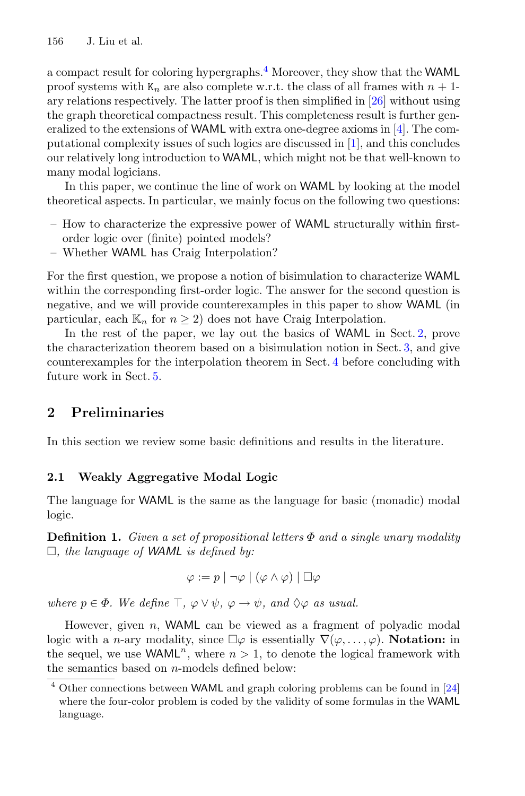a compact result for coloring hypergraphs.<sup>[4](#page-3-0)</sup> Moreover, they show that the WAML proof systems with  $K_n$  are also complete w.r.t. the class of all frames with  $n + 1$ ary relations respectively. The latter proof is then simplified in [\[26\]](#page-14-6) without using the graph theoretical compactness result. This completeness result is further generalized to the extensions of WAML with extra one-degree axioms in [\[4\]](#page-13-13). The computational complexity issues of such logics are discussed in [\[1\]](#page-12-0), and this concludes our relatively long introduction to WAML, which might not be that well-known to many modal logicians.

In this paper, we continue the line of work on WAML by looking at the model theoretical aspects. In particular, we mainly focus on the following two questions:

- How to characterize the expressive power of WAML structurally within firstorder logic over (finite) pointed models?
- Whether WAML has Craig Interpolation?

For the first question, we propose a notion of bisimulation to characterize WAML within the corresponding first-order logic. The answer for the second question is negative, and we will provide counterexamples in this paper to show WAML (in particular, each  $\mathbb{K}_n$  for  $n \geq 2$ ) does not have Craig Interpolation.

In the rest of the paper, we lay out the basics of WAML in Sect. [2,](#page-3-1) prove the characterization theorem based on a bisimulation notion in Sect. [3,](#page-4-0) and give counterexamples for the interpolation theorem in Sect. [4](#page-9-0) before concluding with future work in Sect. [5.](#page-12-1)

# <span id="page-3-1"></span>**2 Preliminaries**

In this section we review some basic definitions and results in the literature.

## **2.1 Weakly Aggregative Modal Logic**

The language for WAML is the same as the language for basic (monadic) modal logic.

**Definition 1.** *Given a set of propositional letters* Φ *and a single unary modality* -*, the language of WAML is defined by:*

$$
\varphi:=p\mid\neg\varphi\mid(\varphi\wedge\varphi)\mid\Box\varphi
$$

*where*  $p \in \Phi$ *. We define*  $\top$ *,*  $\varphi \lor \psi$ *,*  $\varphi \rightarrow \psi$ *, and*  $\Diamond \varphi$  *as usual.* 

However, given  $n$ , WAML can be viewed as a fragment of polyadic modal logic with a *n*-ary modality, since  $\Box \varphi$  is essentially  $\nabla(\varphi, \dots, \varphi)$ . **Notation:** in the sequel, we use **WAML**<sup>n</sup>, where  $n > 1$ , to denote the logical framework with the semantics based on n-models defined below:

<span id="page-3-0"></span>Other connections between WAML and graph coloring problems can be found in [\[24\]](#page-13-14) where the four-color problem is coded by the validity of some formulas in the WAML language.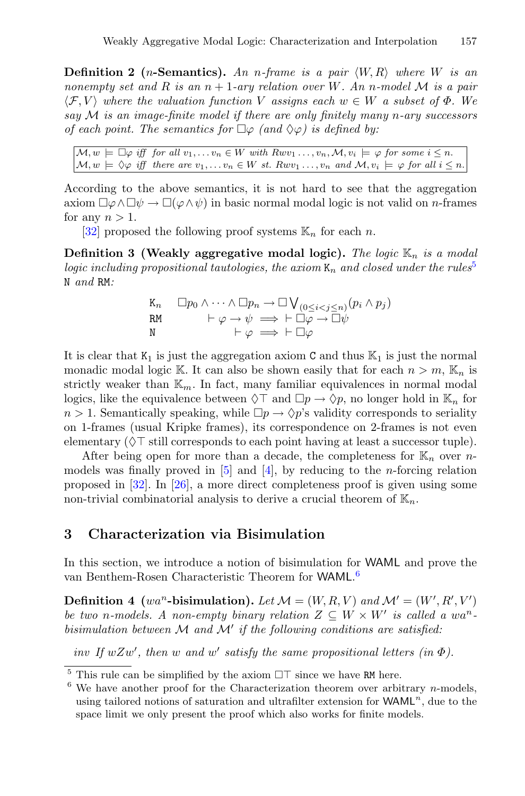**Definition 2** (*n*-Semantics). An *n*-frame is a pair  $\langle W, R \rangle$  where W is an *nonempty set and* <sup>R</sup> *is an* <sup>n</sup> + 1*-ary relation over* <sup>W</sup>*. An* <sup>n</sup>*-model* <sup>M</sup> *is a pair*  $\langle \mathcal{F}, V \rangle$  where the valuation function V assigns each  $w \in W$  a subset of  $\Phi$ . We *say* <sup>M</sup> *is an image-finite model if there are only finitely many* <sup>n</sup>*-ary successors of each point. The semantics for*  $\Box \varphi$  *(and*  $\Diamond \varphi$ *) is defined by:* 

 $\mathcal{M}, w \models \Box \varphi \text{ iff } \text{ for all } v_1, \ldots v_n \in W \text{ with } Rwv_1 \ldots, v_n, \mathcal{M}, v_i \models \varphi \text{ for some } i \leq n.$  $\mathcal{M}, w \models \Diamond \varphi \text{ iff there are } v_1, \dots v_n \in W \text{ st. } R w v_1 \dots, v_n \text{ and } \mathcal{M}, v_i \models \varphi \text{ for all } i \leq n.$ 

According to the above semantics, it is not hard to see that the aggregation axiom  $\Box \varphi \land \Box \psi \to \Box (\varphi \land \psi)$  in basic normal modal logic is not valid on *n*-frames for any  $n > 1$ .

[\[32](#page-14-0)] proposed the following proof systems  $\mathbb{K}_n$  for each *n*.

**Definition 3 (Weakly aggregative modal logic).** The logic  $\mathbb{K}_n$  is a modal *logic including propositional tautologies, the axiom*  $K_n$  *and closed under the rules*<sup>[5](#page-4-1)</sup> N *and* RM*:*

$$
\begin{array}{ll}\n\mathtt{K}_{n} & \Box p_{0} \wedge \cdots \wedge \Box p_{n} \rightarrow \Box \bigvee_{(0 \leq i < j \leq n)} (p_{i} \wedge p_{j}) \\
\mathtt{RM} & \vdash \varphi \rightarrow \psi \implies \vdash \Box \varphi \rightarrow \Box \psi \\
\mathtt{N} & \vdash \varphi \implies \vdash \Box \varphi\n\end{array}
$$

It is clear that  $K_1$  is just the aggregation axiom C and thus  $K_1$  is just the normal monadic modal logic K. It can also be shown easily that for each  $n>m$ , K<sub>n</sub> is strictly weaker than  $\mathbb{K}_m$ . In fact, many familiar equivalences in normal modal logics, like the equivalence between  $\Diamond \top$  and  $\Box p \to \Diamond p$ , no longer hold in  $\mathbb{K}_n$  for  $n > 1$ . Semantically speaking, while  $\Box p \rightarrow \Diamond p$ 's validity corresponds to seriality on 1-frames (usual Kripke frames), its correspondence on 2-frames is not even elementary  $(\Diamond \top \text{ still corresponds to each point having at least a successor tuple}).$ 

After being open for more than a decade, the completeness for  $K_n$  over nmodels was finally proved in  $[5]$  $[5]$  and  $[4]$ , by reducing to the *n*-forcing relation proposed in [\[32](#page-14-0)]. In [\[26\]](#page-14-6), a more direct completeness proof is given using some non-trivial combinatorial analysis to derive a crucial theorem of  $\mathbb{K}_n$ .

#### <span id="page-4-0"></span>**3 Characterization via Bisimulation**

In this section, we introduce a notion of bisimulation for WAML and prove the van Benthem-Rosen Characteristic Theorem for WAML.<sup>[6](#page-4-2)</sup>

**Definition 4** (wa<sup>n</sup>**-bisimulation).** Let  $M = (W, R, V)$  and  $M' = (W', R', V')$ *be two* n-models. A non-empty binary relation  $Z \subseteq W \times W'$  is called a wa<sup>n</sup>*bisimulation between* M *and* M *if the following conditions are satisfied:*

*inv* If  $wZw'$ , then w and w' satisfy the same propositional letters (in  $\Phi$ ).

<span id="page-4-1"></span> $^5$  This rule can be simplified by the axiom  $\Box\top$  since we have RM here.

<span id="page-4-2"></span> $6$  We have another proof for the Characterization theorem over arbitrary *n*-models, using tailored notions of saturation and ultrafilter extension for WAML*<sup>n</sup>*, due to the space limit we only present the proof which also works for finite models.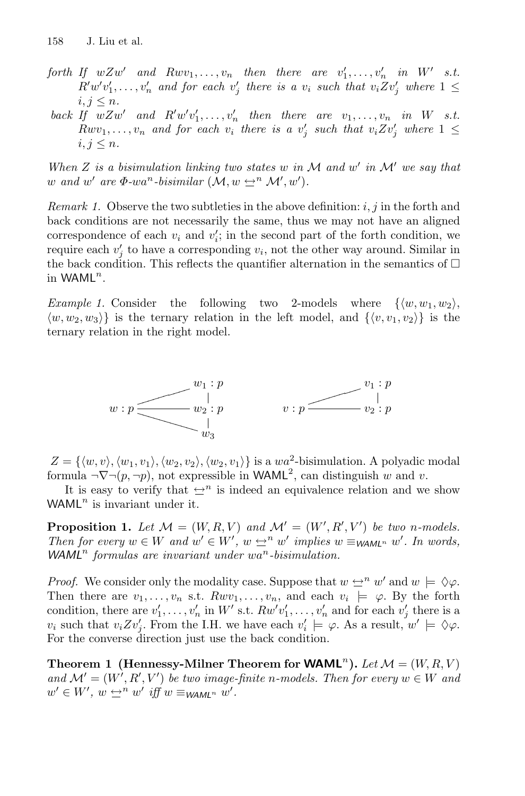- *forth If*  $wZw'$  and  $Rwv_1, \ldots, v_n$  then there are  $v'_1, \ldots, v'_n$  in W' s.t.  $R'w'v'_1, \ldots, v'_n$  and for each  $v'_j$  there is a  $v_i$  such that  $v_i Z v'_j$  where  $1 \leq$  $i, j \leq n$ .
- back If  $wZw'$  and  $R'w'v'_1,\ldots,v'_n$  then there are  $v_1,\ldots,v_n$  in W *s.t.*  $Rwv_1, \ldots, v_n$  and for each  $v_i$  there is a  $v'_j$  such that  $v_i Zv'_j$  where  $1 \leq$  $i, j \leq n$ .

*When*  $Z$  *is a bisimulation linking two states*  $w$  *in*  $M$  *and*  $w'$  *in*  $M'$  *we say that w* and *w'* are  $\Phi$ -wa<sup>n</sup>-bisimilar  $(\mathcal{M}, w \rightarrow M', w')$ .

*Remark 1.* Observe the two subtleties in the above definition:  $i, j$  in the forth and back conditions are not necessarily the same, thus we may not have an aligned correspondence of each  $v_i$  and  $v'_i$ ; in the second part of the forth condition, we require each  $v'_j$  to have a corresponding  $v_i$ , not the other way around. Similar in the back condition. This reflects the quantifier alternation in the semantics of  $\Box$ in WAML*<sup>n</sup>*.

*Example 1.* Consider the following two 2-models where  $\{ \langle w, w_1, w_2 \rangle, \}$  $\langle w, w_2, w_3 \rangle$  is the ternary relation in the left model, and  $\{ \langle v, v_1, v_2 \rangle \}$  is the ternary relation in the right model.

<span id="page-5-0"></span>

 $Z = \{\langle w, v \rangle, \langle w_1, v_1 \rangle, \langle w_2, v_2 \rangle, \langle w_2, v_1 \rangle\}$  is a  $wa^2$ -bisimulation. A polyadic modal formula  $\neg \nabla \neg (p, \neg p)$ , not expressible in WAML<sup>2</sup>, can distinguish w and v.

It is easy to verify that  $\rightleftharpoons$ <sup>*n*</sup> is indeed an equivalence relation and we show WAML*<sup>n</sup>* is invariant under it.

**Proposition 1.** Let  $\mathcal{M} = (W, R, V)$  and  $\mathcal{M}' = (W', R', V')$  be two n-models. *Then for every*  $w \in W$  *and*  $w' \in W'$ ,  $w \leftrightarrow w'$  *implies*  $w \equiv_{W \triangleleft M} w'$ . In words, *WAML<sup>n</sup> formulas are invariant under* wa*<sup>n</sup>-bisimulation.*

*Proof.* We consider only the modality case. Suppose that  $w \rightarrow w'$  and  $w \models \Diamond \varphi$ . Then there are  $v_1, \ldots, v_n$  s.t.  $R w v_1, \ldots, v_n$ , and each  $v_i \models \varphi$ . By the forth condition, there are  $v'_1, \ldots, v'_n$  in W' s.t.  $Rw'v'_1, \ldots, v'_n$  and for each  $v'_j$  there is a  $v_i$  such that  $v_i Z v'_j$ . From the I.H. we have each  $v'_i \models \varphi$ . As a result,  $w' \models \Diamond \varphi$ . For the converse direction just use the back condition.

**Theorem 1 (Hennessy-Milner Theorem for WAML<sup>***n***</sup>). Let**  $\mathcal{M} = (W, R, V)$  $and M' = (W', R', V')$  *be two image-finite n-models. Then for every*  $w \in W$  *and*  $w' \in W'$ ,  $w \leftrightarrow w'$  iff  $w \equiv_{\text{WAML}^n} w'$ .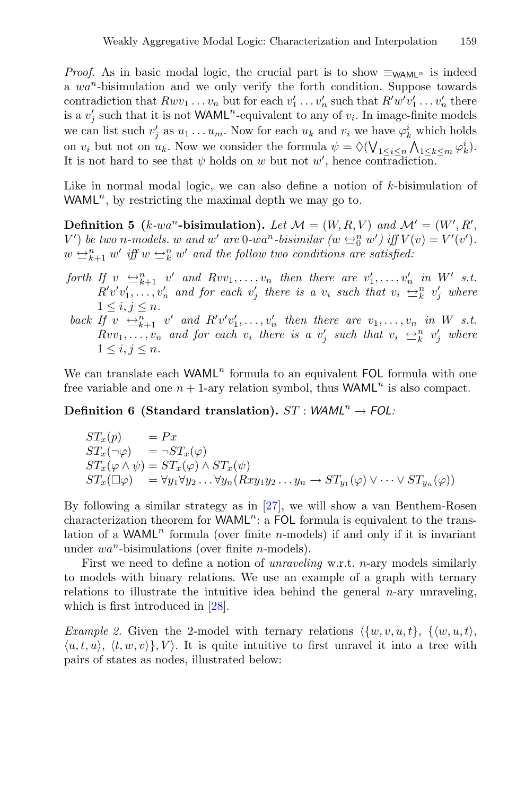*Proof.* As in basic modal logic, the crucial part is to show  $\equiv_{WAML^n}$  is indeed a wa*n*-bisimulation and we only verify the forth condition. Suppose towards contradiction that  $R w v_1 \ldots v_n$  but for each  $v'_1 \ldots v'_n$  such that  $R' w' v'_1 \ldots v'_n$  there is a  $v'_j$  such that it is not  $WAML^n$ -equivalent to any of  $v_i$ . In image-finite models we can list such  $v'_j$  as  $u_1 \ldots u_m$ . Now for each  $u_k$  and  $v_i$  we have  $\varphi_k^i$  which holds on  $v_i$  but not on  $u_k$ . Now we consider the formula  $\psi = \Diamond (\bigvee_{1 \leq i \leq n} \bigwedge_{1 \leq k \leq m} \varphi_k^i)$ . It is not hard to see that  $\psi$  holds on w but not w', hence contradiction.

Like in normal modal logic, we can also define a notion of  $k$ -bisimulation of WAML<sup>n</sup>, by restricting the maximal depth we may go to.

**Definition 5 (k-wa<sup>n</sup>-bisimulation).** Let  $\mathcal{M} = (W, R, V)$  and  $\mathcal{M}' = (W', R', \mathcal{M}')$ V') be two *n*-models. w and w' are 0-wa<sup>n</sup>-bisimilar ( $w \triangleq_0^n w'$ ) iff  $V(v) = V'(v')$ .  $w \triangleq_{k+1}^n w'$  *iff*  $w \triangleq_k^n w'$  and the follow two conditions are satisfied:

- forth If  $v \nightharpoonup_{k+1}^n v'$  and  $Rvv_1, \ldots, v_n$  then there are  $v'_1, \ldots, v'_n$  in W' s.t.<br>  $R'v'v'_1, \ldots, v'_n$  and for each  $v'_j$  there is a  $v_i$  such that  $v_i \nightharpoonup_k^n v'_j$  where  $1 \leq i, j \leq n$ .
- *back If*  $v \stackrel{\leftrightarrow}{\rightarrow}_{k+1}^n v'$  *and*  $R'v'v'_1, \ldots, v'_n$  *then there are*  $v_1, \ldots, v_n$  *in* W *s.t.*  $Rvv_1, \ldots, v_n$  and for each  $v_i$  there is a  $v'_j$  such that  $v_i \nightharpoonup_k^n v'_j$  where  $1 \leq i, j \leq n$ .

We can translate each WAML<sup>n</sup> formula to an equivalent FOL formula with one free variable and one  $n + 1$ -ary relation symbol, thus **WAML**<sup>n</sup> is also compact.

#### **Definition 6 (Standard translation).**  $ST: WAML^n \rightarrow FOL$

$$
ST_x(p) = Px
$$
  
\n
$$
ST_x(\neg \varphi) = \neg ST_x(\varphi)
$$
  
\n
$$
ST_x(\varphi \land \psi) = ST_x(\varphi) \land ST_x(\psi)
$$
  
\n
$$
ST_x(\Box \varphi) = \forall y_1 \forall y_2 \dots \forall y_n (Rxy_1y_2 \dots y_n \rightarrow ST_{y_1}(\varphi) \lor \dots \lor ST_{y_n}(\varphi))
$$

By following a similar strategy as in [\[27\]](#page-14-7), we will show a van Benthem-Rosen characterization theorem for WAML<sup>n</sup>: a FOL formula is equivalent to the translation of a WAML<sup>n</sup> formula (over finite  $n$ -models) if and only if it is invariant under wa<sup>n</sup>-bisimulations (over finite *n*-models).

First we need to define a notion of *unraveling* w.r.t. *n*-ary models similarly to models with binary relations. We use an example of a graph with ternary relations to illustrate the intuitive idea behind the general n-ary unraveling, which is first introduced in [\[28\]](#page-14-8).

*Example 2.* Given the 2-model with ternary relations  $\langle \{w, v, u, t\}, \{w, u, t\}, \rangle$  $\langle u, t, u \rangle$ ,  $\langle t, w, v \rangle$ , V. It is quite intuitive to first unravel it into a tree with pairs of states as nodes, illustrated below: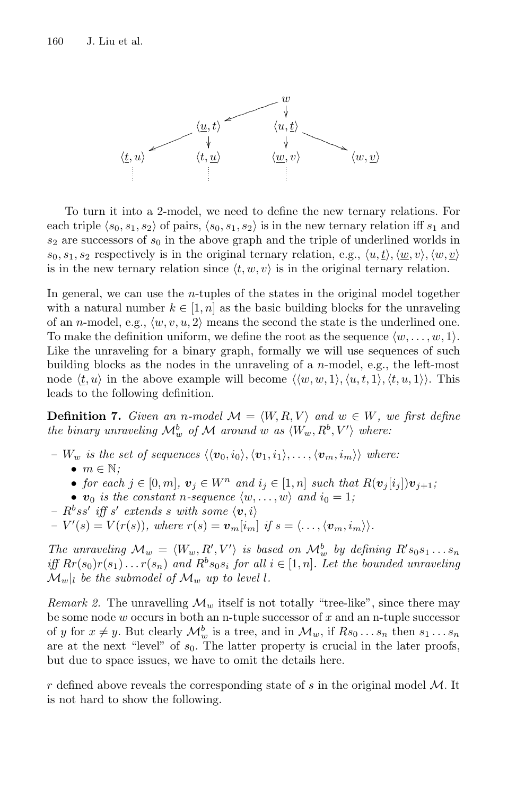

To turn it into a 2-model, we need to define the new ternary relations. For each triple  $\langle s_0, s_1, s_2 \rangle$  of pairs,  $\langle s_0, s_1, s_2 \rangle$  is in the new ternary relation iff  $s_1$  and  $s_2$  are successors of  $s_0$  in the above graph and the triple of underlined worlds in  $s_0, s_1, s_2$  respectively is in the original ternary relation, e.g.,  $\langle u, t \rangle, \langle w, v \rangle, \langle w, v \rangle$ is in the new ternary relation since  $\langle t, w, v \rangle$  is in the original ternary relation.

In general, we can use the  $n$ -tuples of the states in the original model together with a natural number  $k \in [1, n]$  as the basic building blocks for the unraveling of an *n*-model, e.g.,  $\langle w, v, u, 2 \rangle$  means the second the state is the underlined one. To make the definition uniform, we define the root as the sequence  $\langle w, \ldots, w, 1 \rangle$ . Like the unraveling for a binary graph, formally we will use sequences of such building blocks as the nodes in the unraveling of a n-model, e.g., the left-most node  $\langle t, u \rangle$  in the above example will become  $\langle \langle w, w, 1 \rangle, \langle u, t, 1 \rangle, \langle t, u, 1 \rangle \rangle$ . This leads to the following definition.

**Definition 7.** *Given an n-model*  $\mathcal{M} = \langle W, R, V \rangle$  *and*  $w \in W$ *, we first define the binary unraveling*  $\mathcal{M}_w^b$  *of*  $\mathcal M$  *around w as*  $\langle W_w, R^b, V' \rangle$  *where:* 

- $W_w$  *is the set of sequences*  $\langle \langle v_0, i_0 \rangle, \langle v_1, i_1 \rangle, \ldots, \langle v_m, i_m \rangle \rangle$  where:
	- $\bullet$   $m \in \mathbb{N}$ *:*
	- *for each*  $j \in [0, m]$ ,  $v_j \in W^n$  *and*  $i_j \in [1, n]$  *such that*  $R(v_j[i_j])v_{j+1}$ ;
	- $v_0$  *is the constant n-sequence*  $\langle w, \ldots, w \rangle$  *and*  $i_0 = 1$ ;
- $P R^b s s'$  *iff* s' extends s with some  $\langle v, i \rangle$
- $-V'(s) = V(r(s)),$  where  $r(s) = \boldsymbol{v}_m[i_m]$  if  $s = \langle \ldots, \langle \boldsymbol{v}_m, i_m \rangle \rangle$ .

*The unraveling*  $\mathcal{M}_w = \langle W_w, R', V' \rangle$  *is based on*  $\mathcal{M}_w^b$  *by defining*  $R's_0s_1 \dots s_n$ *iff*  $\text{Rr}(s_0)r(s_1)\ldots r(s_n)$  and  $\text{R}^b s_0 s_i$  for all  $i \in [1, n]$ *. Let the bounded unraveling*  $\mathcal{M}_w|_l$  be the submodel of  $\mathcal{M}_w$  up to level l.

<span id="page-7-0"></span>*Remark 2.* The unravelling  $\mathcal{M}_w$  itself is not totally "tree-like", since there may be some node  $w$  occurs in both an n-tuple successor of  $x$  and an n-tuple successor of y for  $x \neq y$ . But clearly  $\mathcal{M}_w^b$  is a tree, and in  $\mathcal{M}_w$ , if  $Rs_0 \ldots s_n$  then  $s_1 \ldots s_n$ are at the next "level" of  $s_0$ . The latter property is crucial in the later proofs, but due to space issues, we have to omit the details here.

r defined above reveals the corresponding state of s in the original model  $\mathcal{M}$ . It is not hard to show the following.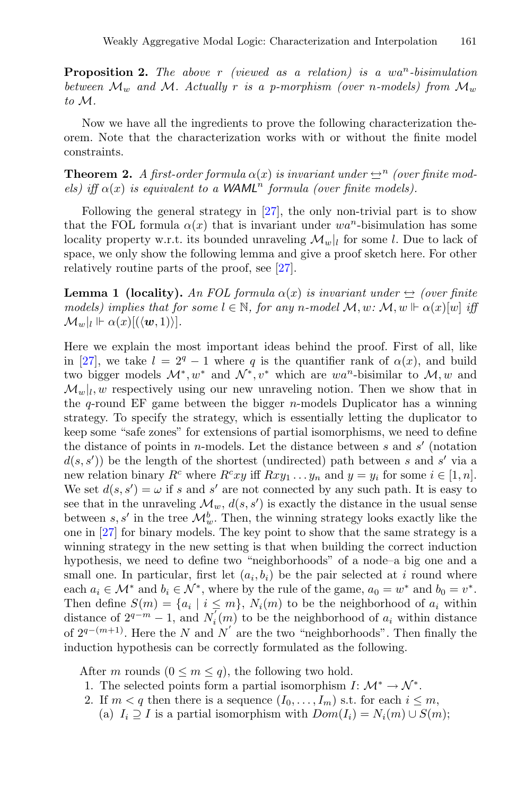**Proposition 2.** *The above* r *(viewed as a relation) is a* wa*n-bisimulation between*  $\mathcal{M}_w$  *and*  $\mathcal{M}$ *. Actually* r *is a p-morphism (over n-models) from*  $\mathcal{M}_w$ *to* M*.*

Now we have all the ingredients to prove the following characterization theorem. Note that the characterization works with or without the finite model constraints.

**Theorem 2.** *A first-order formula*  $\alpha(x)$  *is invariant under*  $\rightleftharpoons$ <sup>*n*</sup> *(over finite models)* iff  $\alpha(x)$  *is equivalent to a WAML<sup>n</sup> formula (over finite models).* 

Following the general strategy in [\[27\]](#page-14-7), the only non-trivial part is to show that the FOL formula  $\alpha(x)$  that is invariant under  $wa<sup>n</sup>$ -bisimulation has some locality property w.r.t. its bounded unraveling  $\mathcal{M}_{w}|_{l}$  for some l. Due to lack of space, we only show the following lemma and give a proof sketch here. For other relatively routine parts of the proof, see [\[27](#page-14-7)].

**Lemma 1 (locality).** An FOL formula  $\alpha(x)$  is invariant under  $\Rightarrow$  (over finite *models) implies that for some*  $l \in \mathbb{N}$ , for any *n*-model  $\mathcal{M}, w \colon \mathcal{M}, w \Vdash \alpha(x)[w]$  *iff*  $\mathcal{M}_w|_l \Vdash \alpha(x)[(\langle \boldsymbol{w}, 1 \rangle)].$ 

Here we explain the most important ideas behind the proof. First of all, like in [\[27\]](#page-14-7), we take  $l = 2<sup>q</sup> - 1$  where q is the quantifier rank of  $\alpha(x)$ , and build two bigger models  $\mathcal{M}^*, w^*$  and  $\mathcal{N}^*, v^*$  which are  $wa^n$ -bisimilar to  $\mathcal{M}, w$  and  $\mathcal{M}_w|_l$ , w respectively using our new unraveling notion. Then we show that in the  $q$ -round EF game between the bigger  $n$ -models Duplicator has a winning strategy. To specify the strategy, which is essentially letting the duplicator to keep some "safe zones" for extensions of partial isomorphisms, we need to define the distance of points in *n*-models. Let the distance between s and s' (notation  $d(s, s')$ ) be the length of the shortest (undirected) path between s and s' via a new relation binary  $R^c$  where  $R^cxy$  iff  $Rxy_1 \ldots y_n$  and  $y = y_i$  for some  $i \in [1, n]$ . We set  $d(s, s') = \omega$  if s and s' are not connected by any such path. It is easy to see that in the unraveling  $\mathcal{M}_w$ ,  $d(s, s')$  is exactly the distance in the usual sense between s, s' in the tree  $\mathcal{M}_{w}^{b}$ . Then, the winning strategy looks exactly like the one in [\[27\]](#page-14-7) for binary models. The key point to show that the same strategy is a winning strategy in the new setting is that when building the correct induction hypothesis, we need to define two "neighborhoods" of a node–a big one and a small one. In particular, first let  $(a_i, b_i)$  be the pair selected at i round where each  $a_i \in \mathcal{M}^*$  and  $b_i \in \mathcal{N}^*$ , where by the rule of the game,  $a_0 = w^*$  and  $b_0 = v^*$ . Then define  $S(m) = \{a_i \mid i \leq m\}, N_i(m)$  to be the neighborhood of  $a_i$  within distance of  $2^{q-m}-1$ , and  $N'_{i}(m)$  to be the neighborhood of  $a_i$  within distance of  $2^{q-(m+1)}$ . Here the N and N<sup>'</sup> are the two "neighborhoods". Then finally the induction hypothesis can be correctly formulated as the following.

After m rounds  $(0 \le m \le q)$ , the following two hold.

- 1. The selected points form a partial isomorphism  $I: \mathcal{M}^* \to \mathcal{N}^*$ .
- 2. If  $m < q$  then there is a sequence  $(I_0, \ldots, I_m)$  s.t. for each  $i \leq m$ , (a)  $I_i \supseteq I$  is a partial isomorphism with  $Dom(I_i) = N_i(m) \cup S(m)$ ;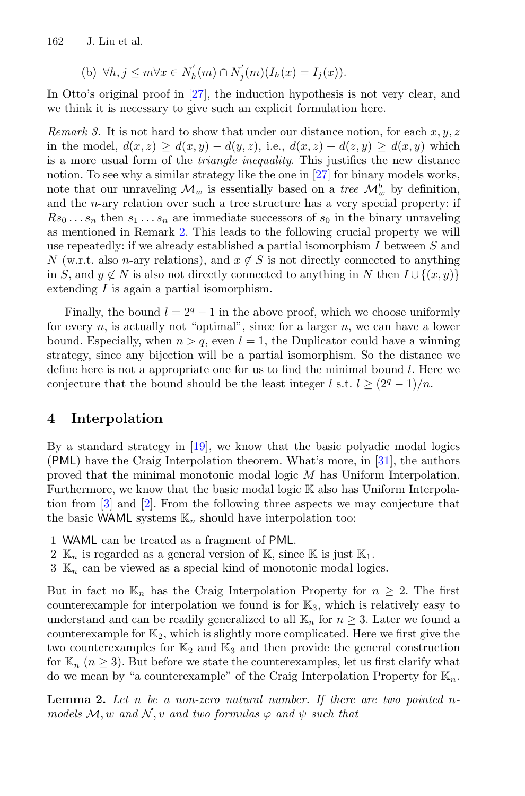162 J. Liu et al.

(b) 
$$
\forall h, j \leq m \forall x \in N'_h(m) \cap N'_j(m)(I_h(x) = I_j(x)).
$$

In Otto's original proof in [\[27\]](#page-14-7), the induction hypothesis is not very clear, and we think it is necessary to give such an explicit formulation here.

*Remark 3.* It is not hard to show that under our distance notion, for each  $x, y, z$ in the model,  $d(x, z) > d(x, y) - d(y, z)$ , i.e.,  $d(x, z) + d(z, y) > d(x, y)$  which is a more usual form of the *triangle inequality*. This justifies the new distance notion. To see why a similar strategy like the one in [\[27](#page-14-7)] for binary models works, note that our unraveling  $\mathcal{M}_w$  is essentially based on a *tree*  $\mathcal{M}_w^b$  by definition, and the n-ary relation over such a tree structure has a very special property: if  $Rs_0 \ldots s_n$  then  $s_1 \ldots s_n$  are immediate successors of  $s_0$  in the binary unraveling as mentioned in Remark [2.](#page-7-0) This leads to the following crucial property we will use repeatedly: if we already established a partial isomorphism  $I$  between  $S$  and N (w.r.t. also n-ary relations), and  $x \notin S$  is not directly connected to anything in S, and  $y \notin N$  is also not directly connected to anything in N then  $I \cup \{(x, y)\}\$ extending I is again a partial isomorphism.

Finally, the bound  $l = 2<sup>q</sup> - 1$  in the above proof, which we choose uniformly for every n, is actually not "optimal", since for a larger  $n$ , we can have a lower bound. Especially, when  $n>q$ , even  $l = 1$ , the Duplicator could have a winning strategy, since any bijection will be a partial isomorphism. So the distance we define here is not a appropriate one for us to find the minimal bound  $l$ . Here we conjecture that the bound should be the least integer l s.t.  $l \geq (2^q - 1)/n$ .

## <span id="page-9-0"></span>**4 Interpolation**

By a standard strategy in [\[19\]](#page-13-15), we know that the basic polyadic modal logics (PML) have the Craig Interpolation theorem. What's more, in [\[31](#page-14-9)], the authors proved that the minimal monotonic modal logic M has Uniform Interpolation. Furthermore, we know that the basic modal logic K also has Uniform Interpolation from [\[3\]](#page-13-16) and [\[2\]](#page-13-17). From the following three aspects we may conjecture that the basic WAML systems  $\mathbb{K}_n$  should have interpolation too:

- 1 WAML can be treated as a fragment of PML.
- 2  $\mathbb{K}_n$  is regarded as a general version of  $\mathbb{K}$ , since  $\mathbb{K}$  is just  $\mathbb{K}_1$ .
- $3 \mathbb{K}_n$  can be viewed as a special kind of monotonic modal logics.

But in fact no  $\mathbb{K}_n$  has the Craig Interpolation Property for  $n \geq 2$ . The first counterexample for interpolation we found is for  $\mathbb{K}_3$ , which is relatively easy to understand and can be readily generalized to all  $\mathbb{K}_n$  for  $n \geq 3$ . Later we found a counterexample for  $\mathbb{K}_2$ , which is slightly more complicated. Here we first give the two counterexamples for  $\mathbb{K}_2$  and  $\mathbb{K}_3$  and then provide the general construction for  $\mathbb{K}_n$  ( $n \geq 3$ ). But before we state the counterexamples, let us first clarify what do we mean by "a counterexample" of the Craig Interpolation Property for  $\mathbb{K}_n$ .

<span id="page-9-1"></span>**Lemma 2.** *Let* n *be a non-zero natural number. If there are two pointed* n*models*  $M$ , w and  $N$ , v and two formulas  $\varphi$  and  $\psi$  such that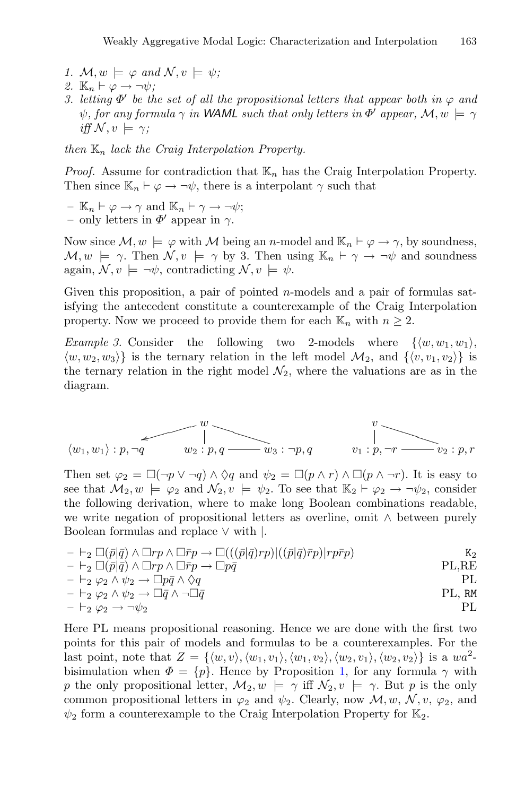- *1.*  $\mathcal{M}, w \models \varphi \text{ and } \mathcal{N}, v \models \psi;$
- 2.  $\mathbb{K}_n \vdash \varphi \rightarrow \neg \psi$ ;
- *3.* letting  $\Phi'$  be the set of all the propositional letters that appear both in  $\varphi$  and  $\psi$ , for any formula  $\gamma$  in **WAML** such that only letters in  $\Phi'$  appear,  $\mathcal{M}, w \models \gamma$  $if\in \mathcal{N}, v \models \gamma;$

*then*  $\mathbb{K}_n$  *lack the Craig Interpolation Property.* 

*Proof.* Assume for contradiction that  $K_n$  has the Craig Interpolation Property. Then since  $\mathbb{K}_n \vdash \varphi \to \neg \psi$ , there is a interpolant  $\gamma$  such that

 $- \mathbb{K}_n \vdash \varphi \to \gamma \text{ and } \mathbb{K}_n \vdash \gamma \to \neg \psi;$ 

– only letters in  $\Phi'$  appear in  $\gamma$ .

Now since  $M, w \models \varphi$  with M being an *n*-model and  $\mathbb{K}_n \vdash \varphi \rightarrow \gamma$ , by soundness,  $\mathcal{M}, w \models \gamma$ . Then  $\mathcal{N}, v \models \gamma$  by 3. Then using  $\mathbb{K}_n \vdash \gamma \rightarrow \neg \psi$  and soundness again,  $\mathcal{N}, v \models \neg \psi$ , contradicting  $\mathcal{N}, v \models \psi$ .

Given this proposition, a pair of pointed  $n$ -models and a pair of formulas satisfying the antecedent constitute a counterexample of the Craig Interpolation property. Now we proceed to provide them for each  $\mathbb{K}_n$  with  $n \geq 2$ .

*Example 3.* Consider the following two 2-models where  $\{\langle w, w_1, w_1 \rangle,$  $\langle w, w_2, w_3 \rangle$  is the ternary relation in the left model  $\mathcal{M}_2$ , and  $\{ \langle v, v_1, v_2 \rangle \}$  is the ternary relation in the right model  $\mathcal{N}_2$ , where the valuations are as in the diagram.

$$
\langle w_1, w_1 \rangle : p, \neg q \longrightarrow w_2 : p, q \longrightarrow w_3 : \neg p, q
$$
 
$$
\downarrow
$$
 
$$
\downarrow
$$
 
$$
\downarrow
$$
 
$$
\downarrow
$$
 
$$
\downarrow
$$
 
$$
\downarrow
$$
 
$$
\downarrow
$$
 
$$
\downarrow
$$
 
$$
\downarrow
$$
 
$$
\downarrow
$$
 
$$
\downarrow
$$
 
$$
\downarrow
$$
 
$$
\downarrow
$$
 
$$
\downarrow
$$
 
$$
\downarrow
$$
 
$$
\downarrow
$$
 
$$
\downarrow
$$
 
$$
\downarrow
$$
 
$$
\downarrow
$$
 
$$
\downarrow
$$
 
$$
\downarrow
$$
 
$$
\downarrow
$$
 
$$
\downarrow
$$
 
$$
\downarrow
$$
 
$$
\downarrow
$$
 
$$
\downarrow
$$
 
$$
\downarrow
$$
 
$$
\downarrow
$$
 
$$
\downarrow
$$
 
$$
\downarrow
$$
 
$$
\downarrow
$$
 
$$
\downarrow
$$
 
$$
\downarrow
$$
 
$$
\downarrow
$$
 
$$
\downarrow
$$
 
$$
\downarrow
$$
 
$$
\downarrow
$$
 
$$
\downarrow
$$
 
$$
\downarrow
$$
 
$$
\downarrow
$$
 
$$
\downarrow
$$
 
$$
\downarrow
$$
 
$$
\downarrow
$$
 
$$
\downarrow
$$
 
$$
\downarrow
$$
 
$$
\downarrow
$$
 
$$
\downarrow
$$
 
$$
\downarrow
$$
 
$$
\downarrow
$$
 
$$
\downarrow
$$
 
$$
\downarrow
$$
 
$$
\downarrow
$$
 
$$
\downarrow
$$
 
$$
\downarrow
$$
 
$$
\downarrow
$$
 
$$
\downarrow
$$
 
$$
\downarrow
$$
 
$$
\downarrow
$$
 
$$
\downarrow
$$
 
$$
\downarrow
$$
 
$$
\downarrow
$$
 
$$
\downarrow
$$
 
$$
\downarrow
$$
 
$$
\downarrow
$$
 
$$
\downarrow
$$
 <math display="block</math>

Then set  $\varphi_2 = \Box(\neg p \lor \neg q) \land \Diamond q$  and  $\psi_2 = \Box(p \land r) \land \Box(p \land \neg r)$ . It is easy to see that  $\mathcal{M}_2, w \models \varphi_2$  and  $\mathcal{N}_2, v \models \psi_2$ . To see that  $\mathbb{K}_2 \vdash \varphi_2 \rightarrow \neg \psi_2$ , consider the following derivation, where to make long Boolean combinations readable, we write negation of propositional letters as overline, omit ∧ between purely Boolean formulas and replace ∨ with |.

$$
\begin{array}{ll}\n- \vdash_2 \Box(\bar{p}|\bar{q}) \land \Box rp \land \Box \bar{r}p \rightarrow \Box(((\bar{p}|\bar{q})rp)|((\bar{p}|\bar{q})\bar{r}p)|rp\bar{r}p) & \text{K}_2 \\
- \vdash_2 \Box(\bar{p}|\bar{q}) \land \Box rp \land \Box \bar{r}p \rightarrow \Box p\bar{q} & \text{PL,RE} \\
- \vdash_2 \varphi_2 \land \psi_2 \rightarrow \Box p\bar{q} \land \Diamond q & \text{PL} \\
- \vdash_2 \varphi_2 \land \psi_2 \rightarrow \Box \bar{q} \land \neg \Box \bar{q} & & \text{PL}, \text{RM} \\
- \vdash_2 \varphi_2 \rightarrow \neg \psi_2 & & \text{PL}\n\end{array}
$$

Here PL means propositional reasoning. Hence we are done with the first two points for this pair of models and formulas to be a counterexamples. For the last point, note that  $Z = \{ \langle w, v \rangle, \langle w_1, v_1 \rangle, \langle w_1, v_2 \rangle, \langle w_2, v_1 \rangle, \langle w_2, v_2 \rangle \}$  is a  $wa^2$ bisimulation when  $\Phi = \{p\}$ . Hence by Proposition [1,](#page-5-0) for any formula  $\gamma$  with p the only propositional letter,  $\mathcal{M}_2, w \models \gamma$  iff  $\mathcal{N}_2, v \models \gamma$ . But p is the only common propositional letters in  $\varphi_2$  and  $\psi_2$ . Clearly, now  $\mathcal{M}, w, \mathcal{N}, v, \varphi_2$ , and  $\psi_2$  form a counterexample to the Craig Interpolation Property for  $\mathbb{K}_2$ .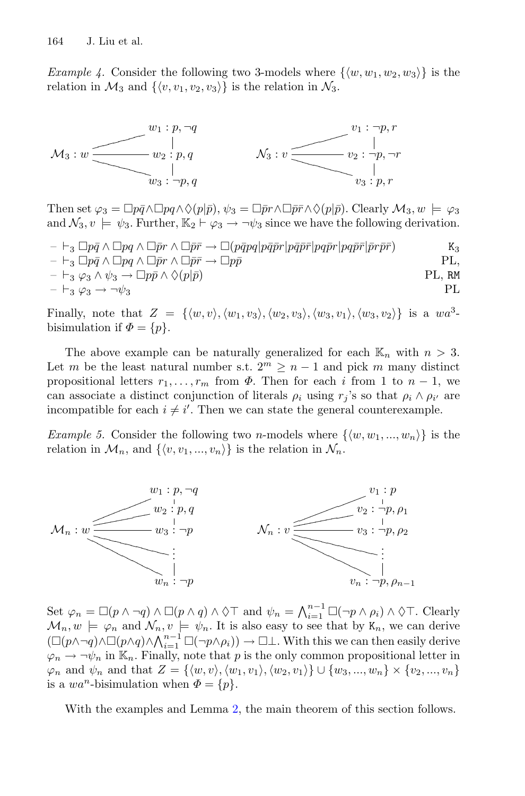*Example 4.* Consider the following two 3-models where  $\{ \langle w, w_1, w_2, w_3 \rangle \}$  is the relation in  $\mathcal{M}_3$  and  $\{\langle v, v_1, v_2, v_3 \rangle\}$  is the relation in  $\mathcal{N}_3$ .



Then set  $\varphi_3 = \Box p \bar{q} \land \Box p q \land \Diamond (p | \bar{p}), \psi_3 = \Box \bar{p} \bar{r} \land \Box \bar{p} \bar{r} \land \Diamond (p | \bar{p}).$  Clearly  $\mathcal{M}_3, w \models \varphi_3$ and  $\mathcal{N}_3$ ,  $v \models \psi_3$ . Further,  $\mathbb{K}_2 \vdash \varphi_3 \rightarrow \neg \psi_3$  since we have the following derivation.

 $- \vdash_3 \Box p\bar{q} \land \Box pq \land \Box \bar{p}r \land \Box \bar{p}\bar{r} \rightarrow \Box (p\bar{q}pq|p\bar{q}\bar{p}r|p\bar{q}\bar{p}\bar{r}|pq\bar{p}r|pq\bar{p}\bar{r}|\bar{p}r\bar{p}\bar{r})$  K<sub>3</sub>  $- \vdash_3 \Box p\bar{q} \land \Box pq \land \Box \bar{p}r \land \Box \bar{p}\bar{r} \to \Box$  $p\bar{p}$  PL,  $\vdash_3$   $\varphi_3 \land \psi_3 \rightarrow \Box p\bar{p} \land \Diamond(p|\bar{p})$  PL, RM  $- \vdash_3 \varphi_3 \rightarrow \neg \psi_3$  PL

Finally, note that  $Z = \{ \langle w, v \rangle, \langle w_1, v_3 \rangle, \langle w_2, v_3 \rangle, \langle w_3, v_1 \rangle, \langle w_3, v_2 \rangle \}$  is a  $wa^3$ bisimulation if  $\Phi = \{p\}.$ 

The above example can be naturally generalized for each  $\mathbb{K}_n$  with  $n > 3$ . Let m be the least natural number s.t.  $2^m \geq n-1$  and pick m many distinct propositional letters  $r_1, \ldots, r_m$  from  $\Phi$ . Then for each i from 1 to  $n-1$ , we can associate a distinct conjunction of literals  $\rho_i$  using  $r_j$ 's so that  $\rho_i \wedge \rho_{i'}$  are incompatible for each  $i \neq i'$ . Then we can state the general counterexample.

*Example 5.* Consider the following two *n*-models where  $\{\langle w, w_1, ..., w_n \rangle\}$  is the relation in  $\mathcal{M}_n$ , and  $\{\langle v, v_1, ..., v_n \rangle\}$  is the relation in  $\mathcal{N}_n$ .



Set  $\varphi_n = \Box(p \land \neg q) \land \Box(p \land q) \land \Diamond \top$  and  $\psi_n = \bigwedge_{i=1}^{n-1} \Box(\neg p \land \rho_i) \land \Diamond \top$ . Clearly  $\mathcal{M}_n, w \models \varphi_n$  and  $\mathcal{N}_n, v \models \psi_n$ . It is also easy to see that by  $K_n$ , we can derive  $(\Box(p\land \neg q) \land \Box(p\land q) \land \bigwedge_{i=1}^{n-1} \Box(\neg p \land \rho_i)) \rightarrow \Box \bot$ . With this we can then easily derive  $\varphi_n \to \neg \psi_n$  in K<sub>n</sub>. Finally, note that p is the only common propositional letter in  $\varphi_n$  and  $\psi_n$  and that  $Z = \{ \langle w, v \rangle, \langle w_1, v_1 \rangle, \langle w_2, v_1 \rangle \} \cup \{ w_3, ..., w_n \} \times \{ v_2, ..., v_n \}$ is a  $wa^n$ -bisimulation when  $\Phi = \{p\}.$ 

With the examples and Lemma [2,](#page-9-1) the main theorem of this section follows.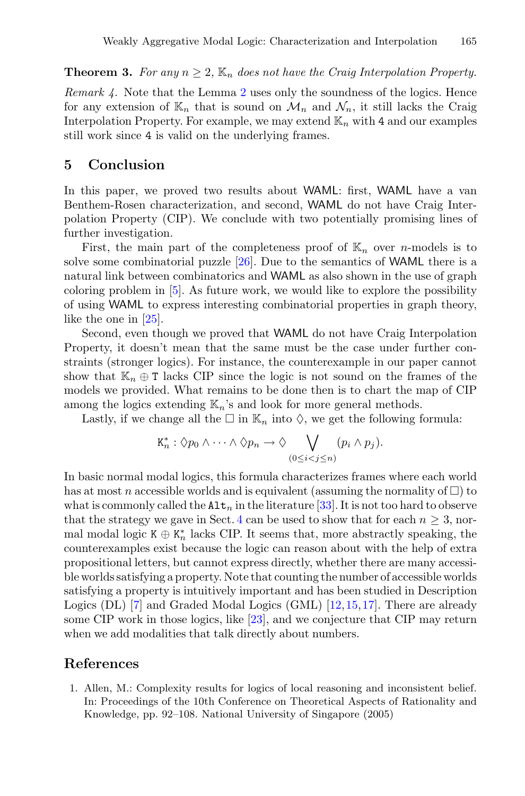#### **Theorem 3.** For any  $n \geq 2$ ,  $\mathbb{K}_n$  does not have the Craig Interpolation Property.

*Remark 4.* Note that the Lemma [2](#page-9-1) uses only the soundness of the logics. Hence for any extension of  $\mathbb{K}_n$  that is sound on  $\mathcal{M}_n$  and  $\mathcal{N}_n$ , it still lacks the Craig Interpolation Property. For example, we may extend  $\mathbb{K}_n$  with 4 and our examples still work since 4 is valid on the underlying frames.

#### <span id="page-12-1"></span>**5 Conclusion**

In this paper, we proved two results about WAML: first, WAML have a van Benthem-Rosen characterization, and second, WAML do not have Craig Interpolation Property (CIP). We conclude with two potentially promising lines of further investigation.

First, the main part of the completeness proof of  $\mathbb{K}_n$  over *n*-models is to solve some combinatorial puzzle  $[26]$  $[26]$ . Due to the semantics of WAML there is a natural link between combinatorics and WAML as also shown in the use of graph coloring problem in [\[5](#page-13-11)]. As future work, we would like to explore the possibility of using WAML to express interesting combinatorial properties in graph theory, like the one in [\[25\]](#page-13-18).

Second, even though we proved that WAML do not have Craig Interpolation Property, it doesn't mean that the same must be the case under further constraints (stronger logics). For instance, the counterexample in our paper cannot show that  $\mathbb{K}_n \oplus \mathbb{T}$  lacks CIP since the logic is not sound on the frames of the models we provided. What remains to be done then is to chart the map of CIP among the logics extending  $\mathbb{K}_n$ 's and look for more general methods.

Lastly, if we change all the  $\Box$  in  $\mathbb{K}_n$  into  $\Diamond$ , we get the following formula:

$$
K_n^* : \Diamond p_0 \wedge \cdots \wedge \Diamond p_n \to \Diamond \bigvee_{(0 \leq i < j \leq n)} (p_i \wedge p_j).
$$

In basic normal modal logics, this formula characterizes frames where each world has at most n accessible worlds and is equivalent (assuming the normality of  $\Box$ ) to what is commonly called the  $\texttt{Alt}_n$  in the literature [\[33\]](#page-14-10). It is not too hard to observe that the strategy we gave in Sect. [4](#page-9-0) can be used to show that for each  $n \geq 3$ , normal modal logic  $K \oplus K_n^*$  lacks CIP. It seems that, more abstractly speaking, the counterexamples exist because the logic can reason about with the help of extra propositional letters, but cannot express directly, whether there are many accessible worlds satisfying a property. Note that counting the number of accessible worlds satisfying a property is intuitively important and has been studied in Description Logics (DL) [\[7\]](#page-13-19) and Graded Modal Logics (GML) [\[12,](#page-13-20)[15](#page-13-21)[,17](#page-13-22)]. There are already some CIP work in those logics, like [\[23\]](#page-13-23), and we conjecture that CIP may return when we add modalities that talk directly about numbers.

### **References**

<span id="page-12-0"></span>1. Allen, M.: Complexity results for logics of local reasoning and inconsistent belief. In: Proceedings of the 10th Conference on Theoretical Aspects of Rationality and Knowledge, pp. 92–108. National University of Singapore (2005)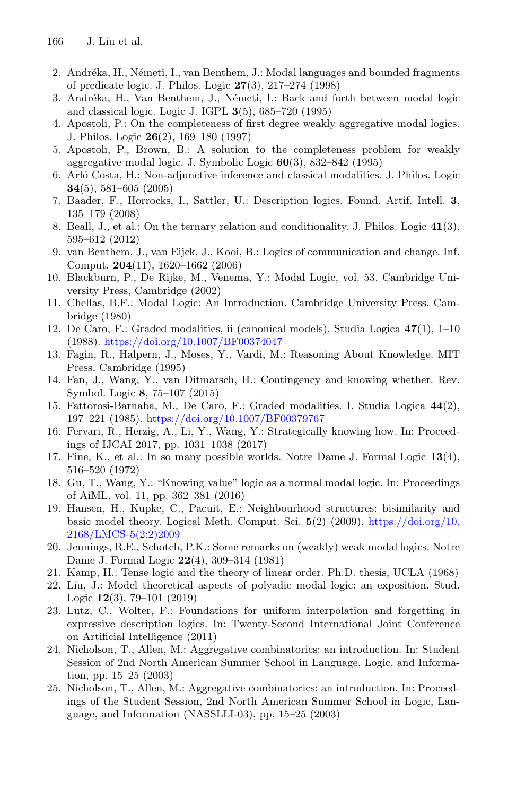- <span id="page-13-17"></span>2. Andréka, H., Németi, I., van Benthem, J.: Modal languages and bounded fragments of predicate logic. J. Philos. Logic **27**(3), 217–274 (1998)
- <span id="page-13-16"></span>3. Andréka, H., Van Benthem, J., Németi, I.: Back and forth between modal logic and classical logic. Logic J. IGPL **3**(5), 685–720 (1995)
- <span id="page-13-13"></span>4. Apostoli, P.: On the completeness of first degree weakly aggregative modal logics. J. Philos. Logic **26**(2), 169–180 (1997)
- <span id="page-13-11"></span>5. Apostoli, P., Brown, B.: A solution to the completeness problem for weakly aggregative modal logic. J. Symbolic Logic **60**(3), 832–842 (1995)
- <span id="page-13-2"></span>6. Arló Costa, H.: Non-adjunctive inference and classical modalities. J. Philos. Logic **34**(5), 581–605 (2005)
- <span id="page-13-19"></span>7. Baader, F., Horrocks, I., Sattler, U.: Description logics. Found. Artif. Intell. **3**, 135–179 (2008)
- <span id="page-13-6"></span>8. Beall, J., et al.: On the ternary relation and conditionality. J. Philos. Logic **41**(3), 595–612 (2012)
- <span id="page-13-5"></span>9. van Benthem, J., van Eijck, J., Kooi, B.: Logics of communication and change. Inf. Comput. **204**(11), 1620–1662 (2006)
- <span id="page-13-7"></span>10. Blackburn, P., De Rijke, M., Venema, Y.: Modal Logic, vol. 53. Cambridge University Press, Cambridge (2002)
- <span id="page-13-0"></span>11. Chellas, B.F.: Modal Logic: An Introduction. Cambridge University Press, Cambridge (1980)
- <span id="page-13-20"></span>12. De Caro, F.: Graded modalities, ii (canonical models). Studia Logica **47**(1), 1–10 (1988). <https://doi.org/10.1007/BF00374047>
- <span id="page-13-10"></span>13. Fagin, R., Halpern, J., Moses, Y., Vardi, M.: Reasoning About Knowledge. MIT Press, Cambridge (1995)
- <span id="page-13-8"></span>14. Fan, J., Wang, Y., van Ditmarsch, H.: Contingency and knowing whether. Rev. Symbol. Logic **8**, 75–107 (2015)
- <span id="page-13-21"></span>15. Fattorosi-Barnaba, M., De Caro, F.: Graded modalities. I. Studia Logica **44**(2), 197–221 (1985). <https://doi.org/10.1007/BF00379767>
- <span id="page-13-3"></span>16. Fervari, R., Herzig, A., Li, Y., Wang, Y.: Strategically knowing how. In: Proceedings of IJCAI 2017, pp. 1031–1038 (2017)
- <span id="page-13-22"></span>17. Fine, K., et al.: In so many possible worlds. Notre Dame J. Formal Logic **13**(4), 516–520 (1972)
- <span id="page-13-9"></span>18. Gu, T., Wang, Y.: "Knowing value" logic as a normal modal logic. In: Proceedings of AiML, vol. 11, pp. 362–381 (2016)
- <span id="page-13-15"></span>19. Hansen, H., Kupke, C., Pacuit, E.: Neighbourhood structures: bisimilarity and basic model theory. Logical Meth. Comput. Sci. **5**(2) (2009). [https://doi.org/10.](https://doi.org/10.2168/LMCS-5(2:2)2009) [2168/LMCS-5\(2:2\)2009](https://doi.org/10.2168/LMCS-5(2:2)2009)
- <span id="page-13-1"></span>20. Jennings, R.E., Schotch, P.K.: Some remarks on (weakly) weak modal logics. Notre Dame J. Formal Logic **22**(4), 309–314 (1981)
- <span id="page-13-4"></span>21. Kamp, H.: Tense logic and the theory of linear order. Ph.D. thesis, UCLA (1968)
- <span id="page-13-12"></span>22. Liu, J.: Model theoretical aspects of polyadic modal logic: an exposition. Stud. Logic **12**(3), 79–101 (2019)
- <span id="page-13-23"></span>23. Lutz, C., Wolter, F.: Foundations for uniform interpolation and forgetting in expressive description logics. In: Twenty-Second International Joint Conference on Artificial Intelligence (2011)
- <span id="page-13-14"></span>24. Nicholson, T., Allen, M.: Aggregative combinatorics: an introduction. In: Student Session of 2nd North American Summer School in Language, Logic, and Information, pp. 15–25 (2003)
- <span id="page-13-18"></span>25. Nicholson, T., Allen, M.: Aggregative combinatorics: an introduction. In: Proceedings of the Student Session, 2nd North American Summer School in Logic, Language, and Information (NASSLLI-03), pp. 15–25 (2003)